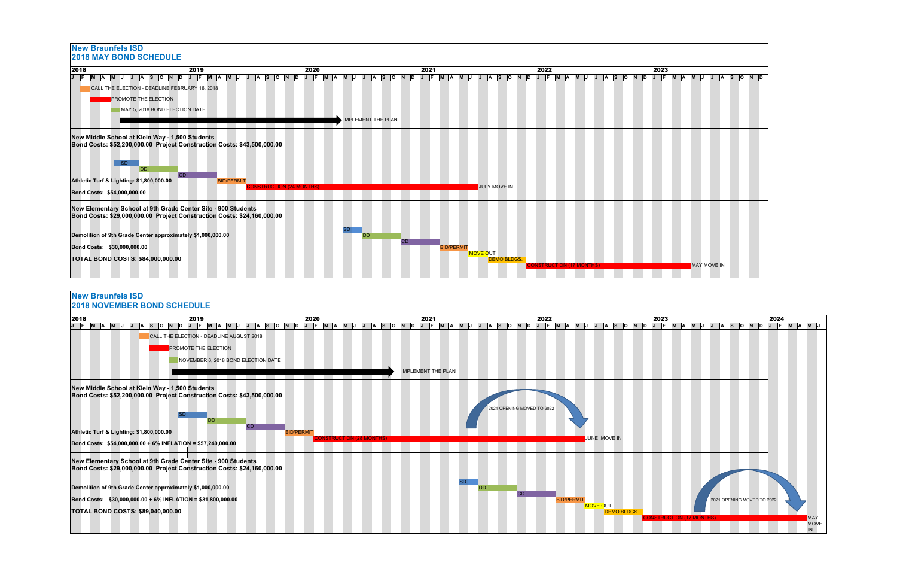



| 2018 |                                                                         | 2019 |                                     |  |                  | 2020 |                                |  | 2021 |                           |  |                            | 2022 |                  |                 |  | 2023 |                             |  |                            | 2024 |                    |
|------|-------------------------------------------------------------------------|------|-------------------------------------|--|------------------|------|--------------------------------|--|------|---------------------------|--|----------------------------|------|------------------|-----------------|--|------|-----------------------------|--|----------------------------|------|--------------------|
|      |                                                                         |      |                                     |  |                  |      |                                |  |      |                           |  |                            |      |                  |                 |  |      |                             |  |                            |      | A  M  J            |
|      | CALL THE ELECTION - DEADLINE AUGUST 2018                                |      |                                     |  |                  |      |                                |  |      |                           |  |                            |      |                  |                 |  |      |                             |  |                            |      |                    |
|      |                                                                         |      | <b>PROMOTE THE ELECTION</b>         |  |                  |      |                                |  |      |                           |  |                            |      |                  |                 |  |      |                             |  |                            |      |                    |
|      |                                                                         |      |                                     |  |                  |      |                                |  |      |                           |  |                            |      |                  |                 |  |      |                             |  |                            |      |                    |
|      |                                                                         |      | NOVEMBER 6, 2018 BOND ELECTION DATE |  |                  |      |                                |  |      |                           |  |                            |      |                  |                 |  |      |                             |  |                            |      |                    |
|      |                                                                         |      |                                     |  |                  |      |                                |  |      | <b>IMPLEMENT THE PLAN</b> |  |                            |      |                  |                 |  |      |                             |  |                            |      |                    |
|      | New Middle School at Klein Way - 1,500 Students                         |      |                                     |  |                  |      |                                |  |      |                           |  |                            |      |                  |                 |  |      |                             |  |                            |      |                    |
|      | Bond Costs: \$52,200,000.00 Project Construction Costs: \$43,500,000.00 |      |                                     |  |                  |      |                                |  |      |                           |  |                            |      |                  |                 |  |      |                             |  |                            |      |                    |
|      |                                                                         |      |                                     |  |                  |      |                                |  |      |                           |  | 2021 OPENING MOVED TO 2022 |      |                  |                 |  |      |                             |  |                            |      |                    |
|      |                                                                         |      |                                     |  |                  |      |                                |  |      |                           |  |                            |      |                  |                 |  |      |                             |  |                            |      |                    |
|      |                                                                         |      |                                     |  |                  |      |                                |  |      |                           |  |                            |      |                  |                 |  |      |                             |  |                            |      |                    |
|      | Athletic Turf & Lighting: \$1,800,000.00                                |      |                                     |  | <b>BID/PERMI</b> |      |                                |  |      |                           |  |                            |      |                  |                 |  |      |                             |  |                            |      |                    |
|      | Bond Costs: \$54,000,000.00 + 6% INFLATION = \$57,240,000.00            |      |                                     |  |                  |      | <b>INSTRUCTION (28 MONTHS)</b> |  |      |                           |  |                            |      |                  | JUNE, MOVE IN   |  |      |                             |  |                            |      |                    |
|      | New Elementary School at 9th Grade Center Site - 900 Students           |      |                                     |  |                  |      |                                |  |      |                           |  |                            |      |                  |                 |  |      |                             |  |                            |      |                    |
|      | Bond Costs: \$29,000,000.00 Project Construction Costs: \$24,160,000.00 |      |                                     |  |                  |      |                                |  |      |                           |  |                            |      |                  |                 |  |      |                             |  |                            |      |                    |
|      |                                                                         |      |                                     |  |                  |      |                                |  |      |                           |  |                            |      |                  |                 |  |      |                             |  |                            |      |                    |
|      | Demolition of 9th Grade Center approximately \$1,000,000.00             |      |                                     |  |                  |      |                                |  |      |                           |  |                            |      |                  |                 |  |      |                             |  |                            |      |                    |
|      |                                                                         |      |                                     |  |                  |      |                                |  |      |                           |  |                            |      |                  |                 |  |      |                             |  |                            |      |                    |
|      | Bond Costs: \$30,000,000.00 + 6% INFLATION = \$31,800,000.00            |      |                                     |  |                  |      |                                |  |      |                           |  |                            |      | <b>BID/PERMI</b> | <b>MOVE OUT</b> |  |      |                             |  | 2021 OPENING MOVED TO 2022 |      |                    |
|      | <b>TOTAL BOND COSTS: \$89,040,000.00</b>                                |      |                                     |  |                  |      |                                |  |      |                           |  |                            |      |                  |                 |  |      |                             |  |                            |      |                    |
|      |                                                                         |      |                                     |  |                  |      |                                |  |      |                           |  |                            |      |                  |                 |  |      | <b>TRUCTION (17 MONTHS)</b> |  |                            |      | MA)<br><b>MOVE</b> |